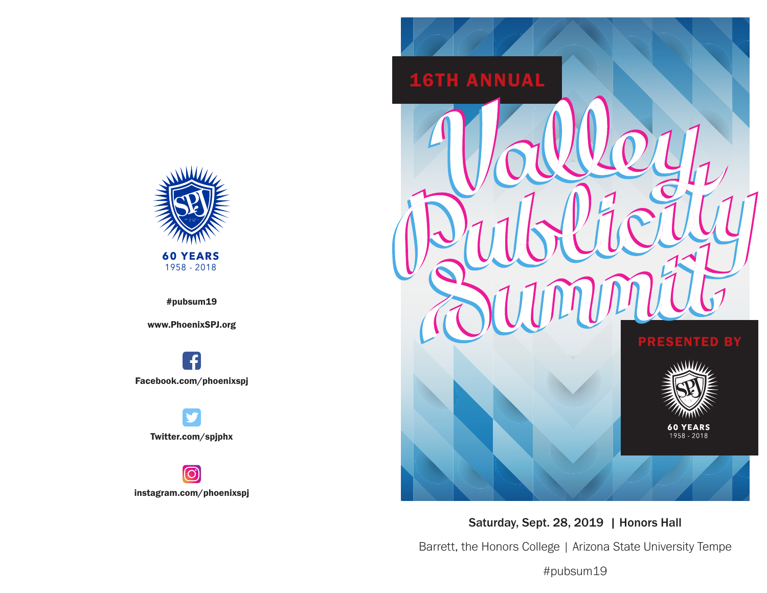

#pubsum19

www.PhoenixSPJ.org

**f** Facebook.com/phoenixspj

Twitter.com/spjphx

ල instagram.com/phoenixspj



Saturday, Sept. 28, 2019 | Honors Hall

Barrett, the Honors College | Arizona State University Tempe

#pubsum19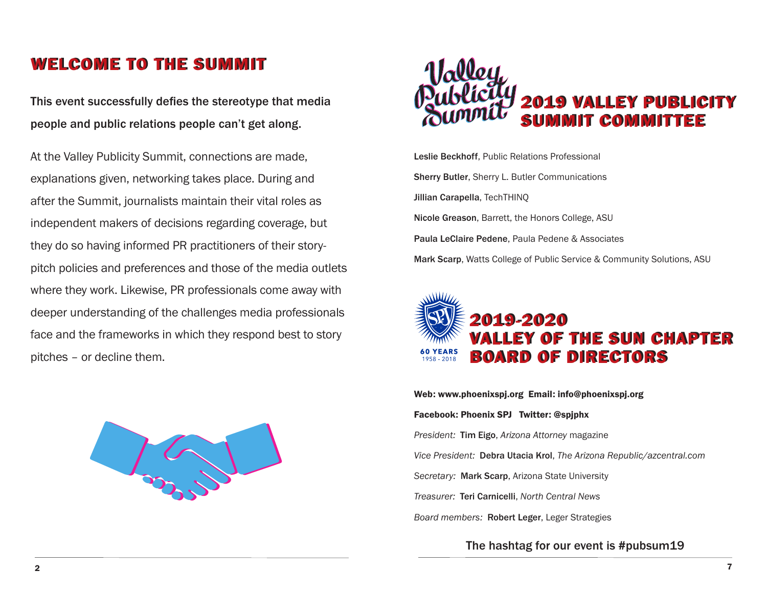## WELCOME TO THE SUMMIT

This event successfully defies the stereotype that media people and public relations people can't get along.

At the Valley Publicity Summit, connections are made, explanations given, networking takes place. During and after the Summit, journalists maintain their vital roles as independent makers of decisions regarding coverage, but they do so having informed PR practitioners of their storypitch policies and preferences and those of the media outlets where they work. Likewise, PR professionals come away with deeper understanding of the challenges media professionals face and the frameworks in which they respond best to story pitches – or decline them.





Leslie Beckhoff, Public Relations Professional Sherry Butler, Sherry L. Butler Communications Jillian Carapella, TechTHINQ Nicole Greason, Barrett, the Honors College, ASU Paula LeClaire Pedene, Paula Pedene & Associates Mark Scarp, Watts College of Public Service & Community Solutions, ASU



Web: www.phoenixspj.org Email: info@phoenixspj.org Facebook: Phoenix SPJ Twitter: @spjphx *President:* Tim Eigo, *Arizona Attorney* magazine *Vice President:* Debra Utacia Krol, *The Arizona Republic/azcentral.com Secretary:* Mark Scarp, Arizona State University *Treasurer:* Teri Carnicelli, *North Central News Board members:* Robert Leger, Leger Strategies

The hashtag for our event is #pubsum19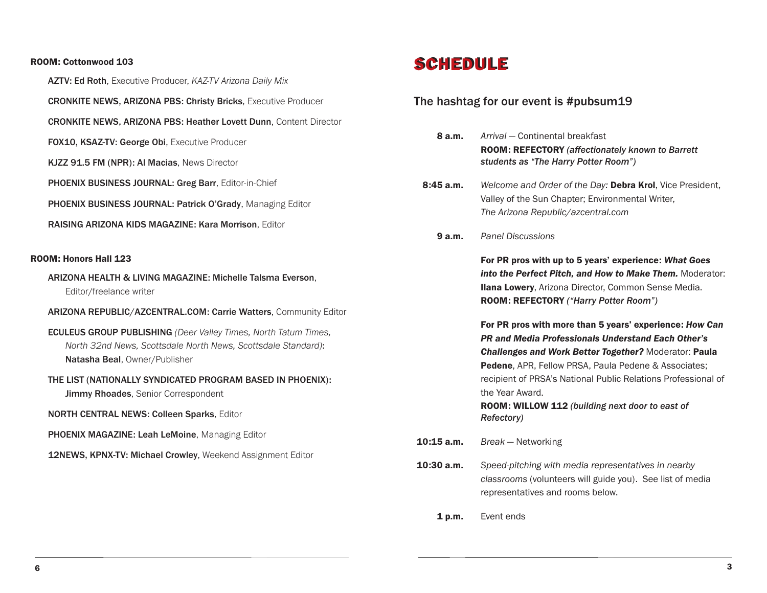#### ROOM: Cottonwood 103

AZTV: Ed Roth, Executive Producer, *KAZ-TV Arizona Daily Mix*

CRONKITE NEWS, ARIZONA PBS: Christy Bricks, Executive Producer

CRONKITE NEWS, ARIZONA PBS: Heather Lovett Dunn, Content Director

FOX10, KSAZ-TV: George Obi, Executive Producer

KJZZ 91.5 FM (NPR): Al Macias, News Director

PHOENIX BUSINESS JOURNAL: Greg Barr, Editor-in-Chief

PHOENIX BUSINESS JOURNAL: Patrick O'Grady, Managing Editor

RAISING ARIZONA KIDS MAGAZINE: Kara Morrison, Editor

### ROOM: Honors Hall 123

ARIZONA HEALTH & LIVING MAGAZINE: Michelle Talsma Everson, Editor/freelance writer

#### ARIZONA REPUBLIC/AZCENTRAL.COM: Carrie Watters, Community Editor

- ECULEUS GROUP PUBLISHING *(Deer Valley Times, North Tatum Times, North 32nd News, Scottsdale North News, Scottsdale Standard)*: Natasha Beal, Owner/Publisher
- THE LIST (NATIONALLY SYNDICATED PROGRAM BASED IN PHOENIX): **Jimmy Rhoades, Senior Correspondent**

NORTH CENTRAL NEWS: Colleen Sparks, Editor

PHOENIX MAGAZINE: Leah LeMoine, Managing Editor

12NEWS, KPNX-TV: Michael Crowley, Weekend Assignment Editor

# **SCHEDULE**

### The hashtag for our event is #pubsum19

| 8 a.m.       | Arrival - Continental breakfast<br><b>ROOM: REFECTORY (affectionately known to Barrett</b><br>students as "The Harry Potter Room")                                                                                                                                                                                                                                                                       |
|--------------|----------------------------------------------------------------------------------------------------------------------------------------------------------------------------------------------------------------------------------------------------------------------------------------------------------------------------------------------------------------------------------------------------------|
| 8:45a.m.     | Welcome and Order of the Day: Debra Krol, Vice President,<br>Valley of the Sun Chapter; Environmental Writer,<br>The Arizona Republic/azcentral.com                                                                                                                                                                                                                                                      |
| 9a.m.        | <b>Panel Discussions</b>                                                                                                                                                                                                                                                                                                                                                                                 |
|              | For PR pros with up to 5 years' experience: What Goes<br>into the Perfect Pitch, and How to Make Them. Moderator:<br><b>Ilana Lowery, Arizona Director, Common Sense Media.</b><br>ROOM: REFECTORY ("Harry Potter Room")                                                                                                                                                                                 |
|              | For PR pros with more than 5 years' experience: How Can<br><b>PR and Media Professionals Understand Each Other's</b><br><b>Challenges and Work Better Together?</b> Moderator: Paula<br><b>Pedene.</b> APR, Fellow PRSA, Paula Pedene & Associates;<br>recipient of PRSA's National Public Relations Professional of<br>the Year Award.<br>ROOM: WILLOW 112 (building next door to east of<br>Refectory) |
| $10:15$ a.m. | Break – Networking                                                                                                                                                                                                                                                                                                                                                                                       |
| $10:30$ a.m. | Speed-pitching with media representatives in nearby<br>classrooms (volunteers will guide you). See list of media                                                                                                                                                                                                                                                                                         |

1 p.m. Event ends

representatives and rooms below.